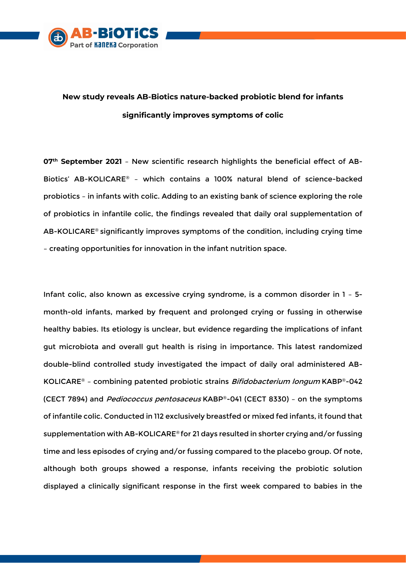

## **New study reveals AB-Biotics nature-backed probiotic blend for infants significantly improves symptoms of colic**

**07 th September 2021** – New scientific research highlights the beneficial effect of AB-Biotics' AB-KOLICARE® – which contains a 100% natural blend of science-backed probiotics – in infants with colic. Adding to an existing bank of science exploring the role of probiotics in infantile colic, the findings revealed that daily oral supplementation of AB-KOLICARE® significantly improves symptoms of the condition, including crying time – creating opportunities for innovation in the infant nutrition space.

Infant colic, also known as excessive crying syndrome, is a common disorder in 1 – 5 month-old infants, marked by frequent and prolonged crying or fussing in otherwise healthy babies. Its etiology is unclear, but evidence regarding the implications of infant gut microbiota and overall gut health is rising in importance. This latest randomized double-blind controlled study investigated the impact of daily oral administered AB-KOLICARE® - combining patented probiotic strains Bifidobacterium longum KABP®-042 (CECT 7894) and Pediococcus pentosaceus KABP®-041 (CECT 8330) - on the symptoms of infantile colic. Conducted in 112 exclusively breastfed or mixed fed infants, it found that supplementation with AB-KOLICARE® for 21 days resulted in shorter crying and/or fussing time and less episodes of crying and/or fussing compared to the placebo group. Of note, although both groups showed a response, infants receiving the probiotic solution displayed a clinically significant response in the first week compared to babies in the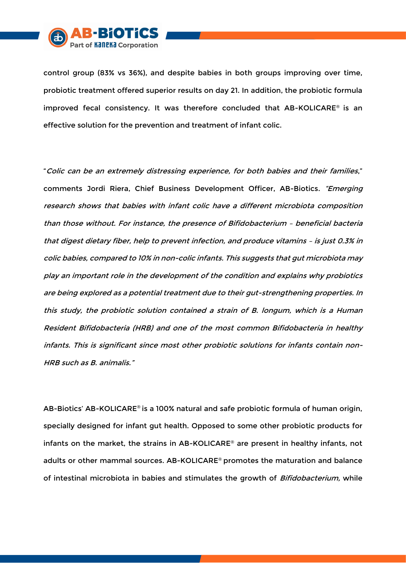

control group (83% vs 36%), and despite babies in both groups improving over time, probiotic treatment offered superior results on day 21. In addition, the probiotic formula improved fecal consistency. It was therefore concluded that AB-KOLICARE® is an effective solution for the prevention and treatment of infant colic.

"Colic can be an extremely distressing experience, for both babies and their families," comments Jordi Riera, Chief Business Development Officer, AB-Biotics. "Emerging research shows that babies with infant colic have a different microbiota composition than those without. For instance, the presence of Bifidobacterium – beneficial bacteria that digest dietary fiber, help to prevent infection, and produce vitamins – is just 0.3% in colic babies, compared to 10% in non-colic infants. This suggests that gut microbiota may play an important role in the development of the condition and explains why probiotics are being explored as a potential treatment due to their gut-strengthening properties. In this study, the probiotic solution contained a strain of B. longum, which is a Human Resident Bifidobacteria (HRB) and one of the most common Bifidobacteria in healthy infants. This is significant since most other probiotic solutions for infants contain non-HRB such as B. animalis."

AB-Biotics' AB-KOLICARE® is a 100% natural and safe probiotic formula of human origin, specially designed for infant gut health. Opposed to some other probiotic products for infants on the market, the strains in AB-KOLICARE® are present in healthy infants, not adults or other mammal sources. AB-KOLICARE® promotes the maturation and balance of intestinal microbiota in babies and stimulates the growth of Bifidobacterium, while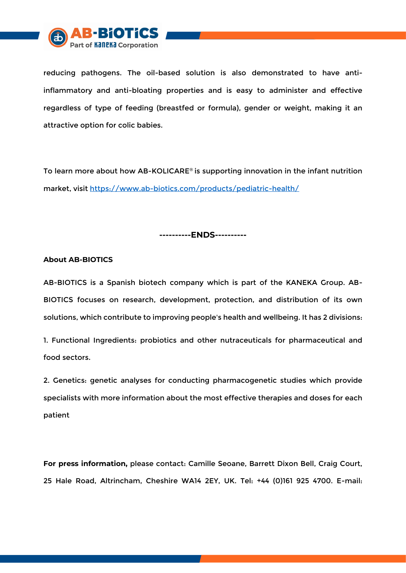

reducing pathogens. The oil-based solution is also demonstrated to have antiinflammatory and anti-bloating properties and is easy to administer and effective regardless of type of feeding (breastfed or formula), gender or weight, making it an attractive option for colic babies.

To learn more about how AB-KOLICARE® is supporting innovation in the infant nutrition market, visit<https://www.ab-biotics.com/products/pediatric-health/>

**----------ENDS----------**

## **About AB-BIOTICS**

AB-BIOTICS is a Spanish biotech company which is part of the KANEKA Group. AB-BIOTICS focuses on research, development, protection, and distribution of its own solutions, which contribute to improving people's health and wellbeing. It has 2 divisions:

1. Functional Ingredients: probiotics and other nutraceuticals for pharmaceutical and food sectors.

2. Genetics: genetic analyses for conducting pharmacogenetic studies which provide specialists with more information about the most effective therapies and doses for each patient

**For press information,** please contact: Camille Seoane, Barrett Dixon Bell, Craig Court, 25 Hale Road, Altrincham, Cheshire WA14 2EY, UK. Tel: +44 (0)161 925 4700. E-mail: